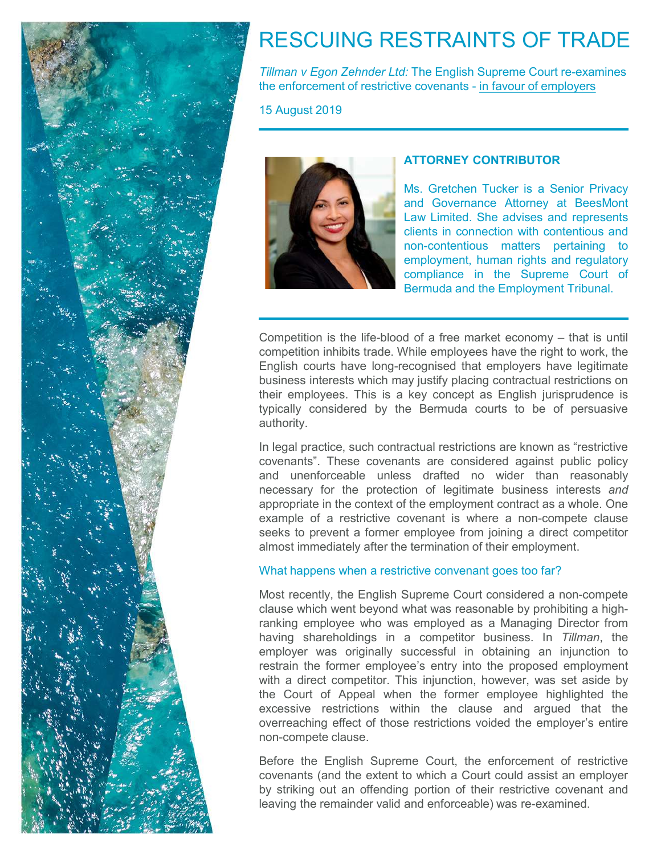

# RESCUING RESTRAINTS OF TRADE

Tillman v Egon Zehnder Ltd: The English Supreme Court re-examines RESCUING RESTRAINTS OF TRADE<br>
Tillman v Egon Zehnder Ltd: The English Supreme Court re-examines<br>
the enforcement of restrictive covenants - <u>in favour of employers</u><br>
15 August 2019

15 August 2019



ESTRAINTS OF TRADE<br>
- The English Supreme Court re-examines<br>
- English Supreme Court re-examines<br>
- ATTORNEY CONTRIBUTOR<br>
- Ms. Gretchen Tucker is a Senior Privacy<br>
ANS. Gretchen Tucker is a Senior Privacy<br>
- Law Limited. **STRAINTS OF TRADE**<br>
The English Supreme Court re-examines<br>
The covenants - <u>in favour of employers</u><br>
Ms. Gretchen Tucker is a Senior Privacy<br>
Ms. Gretchen Tucker is a Senior Privacy<br>
Ms. Gretchen Tucker is a Senior Privac ESTRAINTS OF TRADE<br>
The English Supreme Court re-examines<br>
E covenants - <u>in favour of employers</u><br> **ATTORNEY CONTRIBUTOR**<br>
Ms. Gretchen Tucker is a Senior Privacy<br>
and Governance Attorney at BeesMont<br>
Law Limited. She advi ESTRAINTS OF TRADE<br>
- The English Supreme Court re-examines<br>
e covenants - <u>in favour of employers</u><br> **ATTORNEY CONTRIBUTOR**<br>
Ms. Gretchen Tucker is a Senior Privacy<br>
and Governance Attorney at BeesMont<br>
Law Limited. She ad CONTRIFING STRIFING STRIFING THE English Supreme Court re-examines<br>
e covenants - <u>in favour of employers</u><br>
MS. Gretchen Tucker is a Senior Privacy<br>
MS. Gretchen Tucker is a Senior Privacy<br>
and Governance Attorney at BeesM ESTRAINTS OF TRADE<br>
The English Supreme Court re-examines<br>
e covenants - <u>in favour of employers</u><br>
Ms. Gretchen Tucker is a Senior Privacy<br>
Ms. Gretchen Tucker is a Senior Privacy<br>
and Governance Attorney at BeesMont<br>
Law ESTRAINTS OF TRADE<br>
The English Supreme Court re-examines<br>
The covenants - in favour of employers<br>
Ms. Gretchen Tucker is a Senior Privacy<br>
Ms. Gretchen Tucker is a Senior Privacy<br>
Ms. Gretchen Tucker is a Senior Privacy<br> ESTRAINTS OF TRADE<br>
The English Supreme Court re-examines<br>
e covenants - <u>in favour of employers</u><br>
Ms. Gretchen Tucker is a Senior Privacy<br>
Ms. Gretchen Tucker is a Senior Privacy<br>
Law Limited. She advises and represents<br> ESTRAINTS OF TRADE<br>
The English Supreme Court re-examines<br>
e covenants - <u>in favour of employers</u><br>
Ms. Gretchen Tucker is a Senior Privacy<br>
Ms. Gretchen Tucker is a Senior Privacy<br>
and Governance Attorney at BeesMont<br>
Law

Tillman v Egon Zehnder Ltd: The English Supreme Court re-examines<br>
the enforcement of restrictive covenants - in favour of employers<br>
15 August 2019<br>
Ms. Gretchen Tucker is a Senior Privacy<br>
Ms. Gretchen Tucker is a Senior Competition is the life-blood of a free market economy – that is underlyington included.<br>
The employers of employers and Governants - in favour of employers<br>
Ms. Gretchen Tucker is a Senior Privacy<br>
Ms. Gretchen Tucker is The enforcement of restrictive covenants - in tayour of employers<br>
15 August 2019<br>
Ms. Gretchen Tucker is a Senior Privacy<br>
Ms. Gretchen Tucker is a Senior Privacy<br>
and Governance Attorney at ReesMont<br>
Law Limited. She adv THE August 2019<br>
Ms. Gretchen Tucker is a Senior Privacy<br>
Ms. Gretchen Tucker is a Senior Privacy<br>
and Governance Attorney at BeesMont<br>
Law Limited. She advises and epresents<br>
clients in connection with contentious and<br>
no **EXERCISE ASSET ASSET ASSET ASSET ASSET ASSET ASSESS AND MASSES AND CONTRIBUTOR**<br>
Mas. Gretchen Tucker is a Senior Privacy<br>
and Governance Attorney at BeesMont<br>
Law Limited. She advises and represents<br>
clear the supreme co ATTORNEY CONTRIBUTOR<br>
Ms. Gretchen Tucker is a Senior Privacy<br>
and Governance Attorney at BeesMont<br>
Law Limited. She advises and represents<br>
clients in connection with contentious and<br>
non-connectious matters pertaining to authority. Ms. Gretchen Tucker is a Senior Privacy<br>and Governance Attorney at BeesMont<br>Law Limited. She advises and represents<br>clients in connection with contentious and<br>non-contentious matrices pertaining to<br>employment, human rights Ms. Gretchen Tucker is a Senior Privacy<br>
and Governance Attorney at BeesMont<br>
Law Limited. She advises and represents<br>
clients in connection with contentious and<br>
non-contentious matters pertaining to<br>
employment, human ri

and Governance Attorney at BeesMont<br>Law Limited. She advises and represents<br>clients in connection with contentious and<br>non-contentious matters pertaining to<br>employment, human rights and regulatory<br>competition inhibits trad Law Limited. She advises and represents<br>
clients in connection with contentions and<br>
employment, human rights and regulatory<br>
competition is the life-blood of a free market economy – that is until<br>
competition inhibits tra clients in connection with contentious and<br>non-contentious matters pertaining to<br>employment, human rights and regulatory<br>compliance in the Supreme Court of<br>Bermuda and the Employment Tribunal.<br>Dubsiness interests which may From contentious matters pertaining to<br>
employment, human rights and regulatory<br>
compliance in the Supreme Court of<br>
Bermuda and the Employment Tribunal.<br>
Competition inhibits trade. While employees have the right to work, **Example See Four See Fourier See Fourier See Fourier See Fourier See Fourier Seemideli and the Employment Tribunal.**<br> **Competition inhibits trade.** While employees have the right to work, the English courts have long-reco compliance in the Supreme Court of<br>Bermuda and the Employment Tribunal.<br>Competition inhibits trade. While employees have the right to work, the<br>English courts have long-recognised that employers have legitimate<br>business in Competition inhibits trade. While employees have the right of competition inhibits trade. While employees have the right owork, the conperison contractive have long-recognised that employes have the right owork, the busine Competition is the life-blood of a free market economy – that is until<br>competition inhibits trade. While employees have the right to work, the<br>English courts have long-recognised that employers have legitimate<br>business int Competition is the life-blood of a free market economy – that is until<br>competition inhibits trade. While employees have the right to work, the<br>English courts have long-recognised that employers have legitimate<br>business int competition inhibits trade. While employees have the right to work, the English courts have long-recognised that employers have legitimate bussiness interests which may justify placing contractual restrictions on their emp

English courts are to these the competed by the proper state of the competed that english contractual restrictions on the the mployees. This is a key concept as English jurisprudence is their employees. This is a key conce Employer was the completion to the form of the conservations of their employees. This is a key concept as English jurisprudence is the employees. This is a key concept as English jurisprudence is a valid considered by the **Example 19 Solution** the former employees. This is a key concept as English jurisprudence is typically considered by the Bermuda courts to be of persuasive authority.<br>In legal practice, such contractual restrictions are k the the competion of the Bermuda courts to be of persuasive authority.<br>
In legal practice, such contractual restrictions are known as "restrictive<br>
covenants". These covenants are considered against public policy<br>
and unen and the legal practice such contractual restrictions are known as "restrictive covenants". These covenants are considered against public policy and unenforceable unless drafted no wider than reasonably appropriate in the c extrained in eignal practice, such contractual restrictions are known as "restrictive covenants". These covenants are considered against public policy and unenforceable unless drafted no wider than reasonably necessary for In legal practice, such contractual restrictions are known as "restrictive<br>coverants". These covenants are considered against public policy<br>and unenforceable unless drafted no wider than reasonably<br>necessary for the protec covenants". These covenants are considered against public policy<br>and unenforceable unless drafted no wider than reasonably<br>necessary for the protection of legitimate business interests and<br>appropriate in the context of the are energy for the protection of legitimate business interests and appropriate in the context of the employment contract as a whole. One example of a restrictive covenant is where a non-compete clause exeks to prevent a fo appropriate in the context of the employment contract as a whole. One example of a restrictive covenant is where a non-compete clause seeks to prevent a former employee from joining a direct competitor almost immediately a example of a restrictive ovenant is where a non-compete clause<br>seeks to prevent a former employee from joining a direct competitor<br>almost immediately after the termination of their employment.<br>What happens when a restricti Seeks to prevent a former employee from joining a direct competitor<br>seeks to prevent a former employee from joining a direct competitor<br>almost immediately after the termination of their employment.<br>What happens when a rest